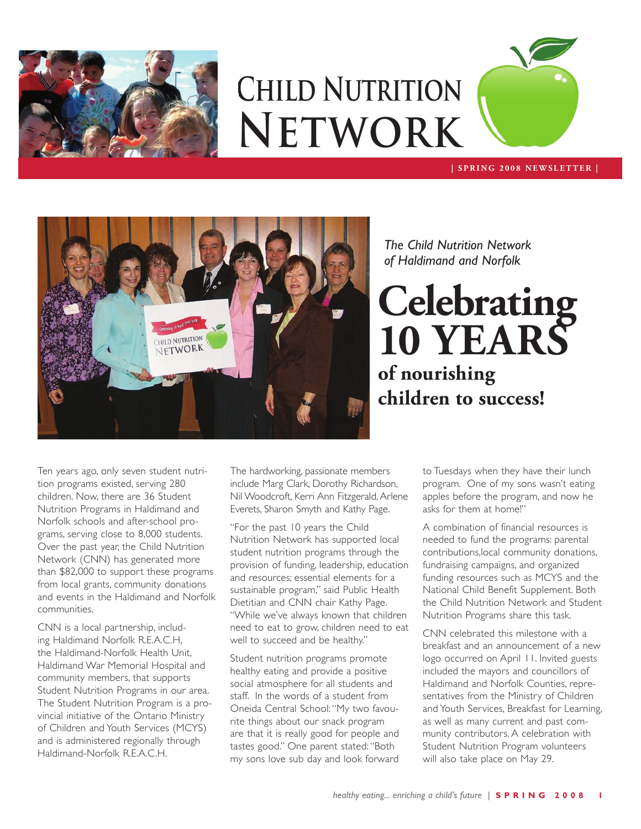

# **Child Nutrition Network**

#### **| SPRING 2008 N EWS L ET TER |**



*The Child Nutrition Network of Haldimand and Norfolk* 

**Celebrating 10 years of nourishing children to success!**

Ten years ago, only seven student nutrition programs existed, serving 280 children. Now, there are 36 Student Nutrition Programs in Haldimand and Norfolk schools and after-school programs, serving close to 8,000 students. Over the past year, the Child Nutrition Network (CNN) has generated more than \$82,000 to support these programs from local grants, community donations and events in the Haldimand and Norfolk communities.

CNN is a local partnership, including Haldimand Norfolk R.E.A.C.H, the Haldimand-Norfolk Health Unit, Haldimand War Memorial Hospital and community members, that supports Student Nutrition Programs in our area. The Student Nutrition Program is a provincial initiative of the Ontario Ministry of Children and Youth Services (MCYS) and is administered regionally through Haldimand-Norfolk R.E.A.C.H.

The hardworking, passionate members include Marg Clark, Dorothy Richardson, Nil Woodcroft, Kerri Ann Fitzgerald, Arlene Everets, Sharon Smyth and Kathy Page.

"For the past 10 years the Child Nutrition Network has supported local student nutrition programs through the provision of funding, leadership, education and resources; essential elements for a sustainable program," said Public Health Dietitian and CNN chair Kathy Page. "While we've always known that children need to eat to grow, children need to eat well to succeed and be healthy."

Student nutrition programs promote healthy eating and provide a positive social atmosphere for all students and staff. In the words of a student from Oneida Central School: "My two favourite things about our snack program are that it is really good for people and tastes good." One parent stated: "Both my sons love sub day and look forward

to Tuesdays when they have their lunch program. One of my sons wasn't eating apples before the program, and now he asks for them at home!"

A combination of financial resources is needed to fund the programs: parental contributions,local community donations, fundraising campaigns, and organized funding resources such as MCYS and the National Child Benefit Supplement. Both the Child Nutrition Network and Student Nutrition Programs share this task.

CNN celebrated this milestone with a breakfast and an announcement of a new logo occurred on April 11. Invited guests included the mayors and councillors of Haldimand and Norfolk Counties, representatives from the Ministry of Children and Youth Services, Breakfast for Learning, as well as many current and past community contributors. A celebration with Student Nutrition Program volunteers will also take place on May 29.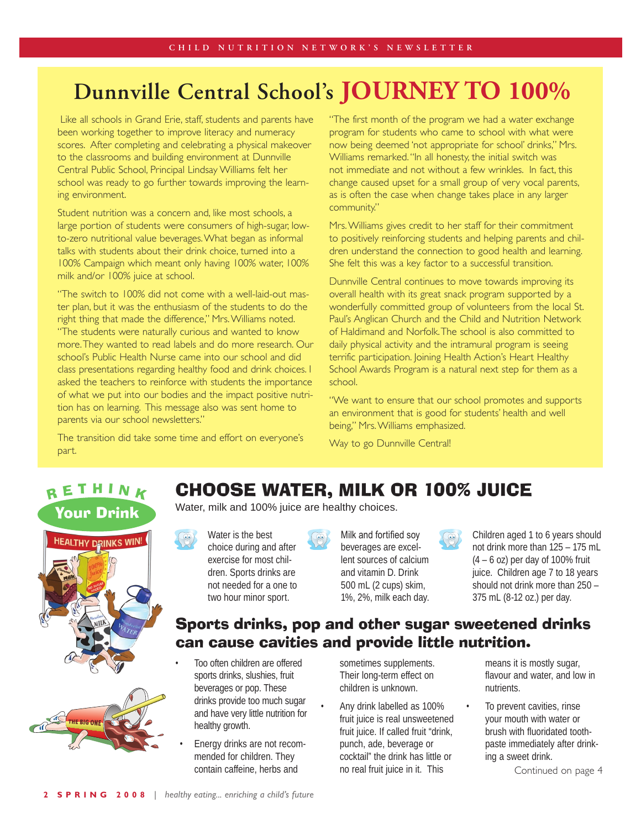# **Dunnville Central School's JOURNEY TO 100%**

Like all schools in Grand Erie, staff, students and parents have been working together to improve literacy and numeracy scores. After completing and celebrating a physical makeover to the classrooms and building environment at Dunnville Central Public School, Principal Lindsay Williams felt her school was ready to go further towards improving the learning environment.

Student nutrition was a concern and, like most schools, a large portion of students were consumers of high-sugar, lowto-zero nutritional value beverages. What began as informal talks with students about their drink choice, turned into a 100% Campaign which meant only having 100% water, 100% milk and/or 100% juice at school.

"The switch to 100% did not come with a well-laid-out master plan, but it was the enthusiasm of the students to do the right thing that made the difference," Mrs. Williams noted. "The students were naturally curious and wanted to know more. They wanted to read labels and do more research. Our school's Public Health Nurse came into our school and did class presentations regarding healthy food and drink choices. I asked the teachers to reinforce with students the importance of what we put into our bodies and the impact positive nutrition has on learning. This message also was sent home to parents via our school newsletters."

The transition did take some time and effort on everyone's part.

"The first month of the program we had a water exchange program for students who came to school with what were now being deemed 'not appropriate for school' drinks," Mrs. Williams remarked. "In all honesty, the initial switch was not immediate and not without a few wrinkles. In fact, this change caused upset for a small group of very vocal parents, as is often the case when change takes place in any larger community."

Mrs. Williams gives credit to her staff for their commitment to positively reinforcing students and helping parents and children understand the connection to good health and learning. She felt this was a key factor to a successful transition.

Dunnville Central continues to move towards improving its overall health with its great snack program supported by a wonderfully committed group of volunteers from the local St. Paul's Anglican Church and the Child and Nutrition Network of Haldimand and Norfolk. The school is also committed to daily physical activity and the intramural program is seeing terrific participation. Joining Health Action's Heart Healthy School Awards Program is a natural next step for them as a school.

"We want to ensure that our school promotes and supports an environment that is good for students' health and well being," Mrs. Williams emphasized.

Way to go Dunnville Central!

#### R E T H I N K Your Drink





### Choose water, milk or 100% juice

Water, milk and 100% juice are healthy choices.

Water is the best choice during and after exercise for most children. Sports drinks are not needed for a one to two hour minor sport.



Milk and fortified soy beverages are excellent sources of calcium and vitamin D. Drink 500 mL (2 cups) skim, 1%, 2%, milk each day.



Children aged 1 to 6 years should not drink more than 125 – 175 mL  $(4 - 6$  oz) per day of 100% fruit juice. Children age 7 to 18 years should not drink more than 250 – 375 mL (8-12 oz.) per day.

#### Sports drinks, pop and other sugar sweetened drinks can cause cavities and provide little nutrition.

- Too often children are offered sports drinks, slushies, fruit beverages or pop. These drinks provide too much sugar and have very little nutrition for healthy growth.
- Energy drinks are not recommended for children. They contain caffeine, herbs and

sometimes supplements. Their long-term effect on children is unknown.

Any drink labelled as 100% fruit juice is real unsweetened fruit juice. If called fruit "drink, punch, ade, beverage or cocktail" the drink has little or no real fruit juice in it. This

means it is mostly sugar, flavour and water, and low in nutrients.

To prevent cavities, rinse your mouth with water or brush with fluoridated toothpaste immediately after drinking a sweet drink.

Continued on page 4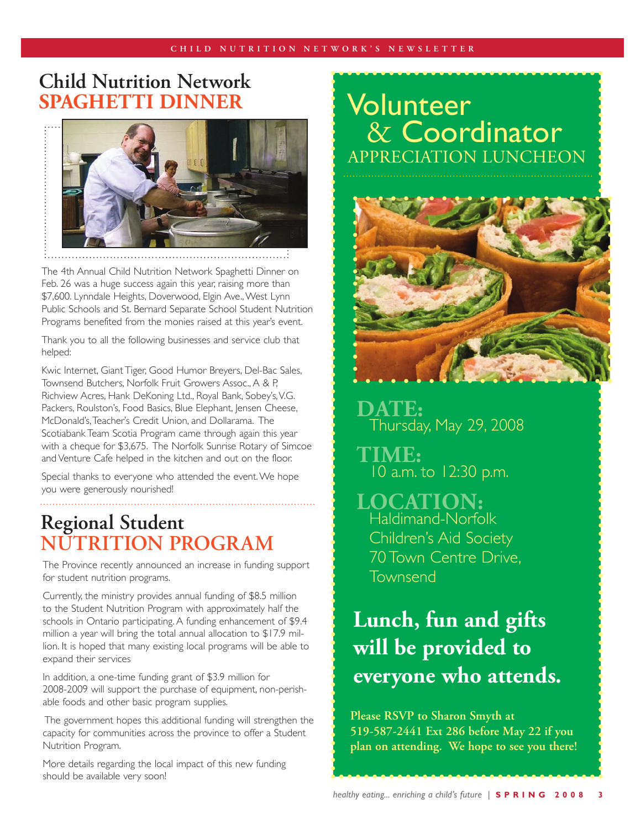## **Child Nutrition Network SPAGHETTI DINNER** Volunteer



The 4th Annual Child Nutrition Network Spaghetti Dinner on Feb. 26 was a huge success again this year, raising more than \$7,600. Lynndale Heights, Doverwood, Elgin Ave., West Lynn Public Schools and St. Bernard Separate School Student Nutrition Programs benefited from the monies raised at this year's event.

Thank you to all the following businesses and service club that helped:

Kwic Internet, Giant Tiger, Good Humor Breyers, Del-Bac Sales, Townsend Butchers, Norfolk Fruit Growers Assoc., A & P, Richview Acres, Hank DeKoning Ltd., Royal Bank, Sobey's, V.G. Packers, Roulston's, Food Basics, Blue Elephant, Jensen Cheese, McDonald's, Teacher's Credit Union, and Dollarama. The Scotiabank Team Scotia Program came through again this year with a cheque for \$3,675. The Norfolk Sunrise Rotary of Simcoe and Venture Cafe helped in the kitchen and out on the floor.

Special thanks to everyone who attended the event. We hope you were generously nourished!

## **Regional Student Nutrition Program**

The Province recently announced an increase in funding support for student nutrition programs.

Currently, the ministry provides annual funding of \$8.5 million to the Student Nutrition Program with approximately half the schools in Ontario participating. A funding enhancement of \$9.4 million a year will bring the total annual allocation to \$17.9 million. It is hoped that many existing local programs will be able to expand their services

In addition, a one-time funding grant of \$3.9 million for 2008-2009 will support the purchase of equipment, non-perishable foods and other basic program supplies.

 The government hopes this additional funding will strengthen the capacity for communities across the province to offer a Student Nutrition Program.

More details regarding the local impact of this new funding should be available very soon!

# & Coordinator Appreciation Luncheon



DATE: Thursday, May 29, 2008

**TIME:** 10 a.m. to 12:30 p.m.

**LOCATION:** Haldimand-Norfolk Children's Aid Society 70 Town Centre Drive, Townsend

# **Lunch, fun and gifts will be provided to everyone who attends.**

**Please RSVP to Sharon Smyth at 519-587-2441 Ext 286 before May 22 if you plan on attending. We hope to see you there!**